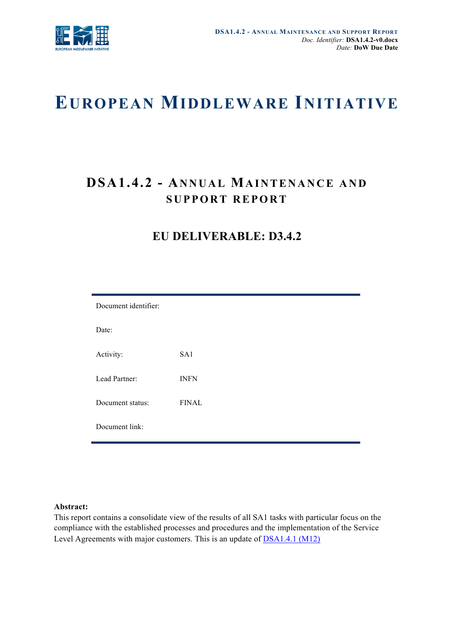

# **EUROPEAN MIDDLEWARE INITIATIVE**

# **DSA1.4.2 - ANNUAL MAINTENANCE AND SUPPORT REPORT**

# **EU DELIVERABLE: D3.4.2**

| Document identifier: |              |  |  |
|----------------------|--------------|--|--|
| Date:                |              |  |  |
| Activity:            | SA1          |  |  |
| Lead Partner:        | <b>INFN</b>  |  |  |
| Document status:     | <b>FINAL</b> |  |  |
| Document link:       |              |  |  |

#### **Abstract:**

This report contains a consolidate view of the results of all SA1 tasks with particular focus on the compliance with the established processes and procedures and the implementation of the Service Level Agreements with major customers. This is an update of DSA1.4.1 (M12)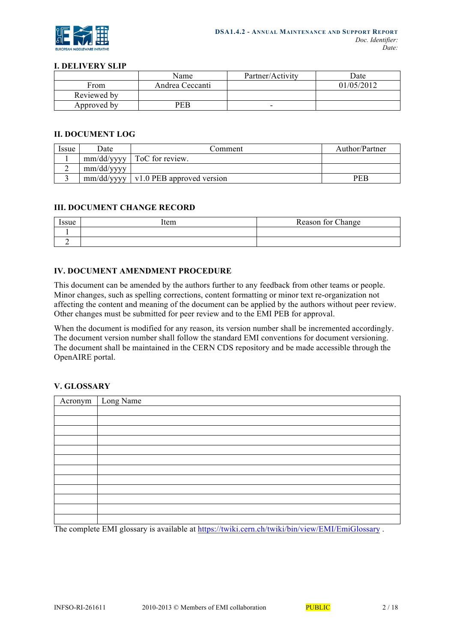

#### **I. DELIVERY SLIP**

|             | Name            | Partner/Activity | Date       |
|-------------|-----------------|------------------|------------|
| From        | Andrea Ceccanti |                  | 01/05/2012 |
| Reviewed by |                 |                  |            |
| Approved by | PEB             | -                |            |

#### **II. DOCUMENT LOG**

| Issue | Date       | Comment                                  | Author/Partner |
|-------|------------|------------------------------------------|----------------|
|       |            | $mm/dd/vyyy$   ToC for review.           |                |
|       | mm/dd/vyyy |                                          |                |
|       |            | $mm/dd/vyyy$   v1.0 PEB approved version | PEB            |

## **III. DOCUMENT CHANGE RECORD**

| 00110<br>sue | Item | Reason for Change |
|--------------|------|-------------------|
|              |      |                   |
|              |      |                   |

# **IV. DOCUMENT AMENDMENT PROCEDURE**

This document can be amended by the authors further to any feedback from other teams or people. Minor changes, such as spelling corrections, content formatting or minor text re-organization not affecting the content and meaning of the document can be applied by the authors without peer review. Other changes must be submitted for peer review and to the EMI PEB for approval.

When the document is modified for any reason, its version number shall be incremented accordingly. The document version number shall follow the standard EMI conventions for document versioning. The document shall be maintained in the CERN CDS repository and be made accessible through the OpenAIRE portal.

#### **V. GLOSSARY**

| Acronym | Long Name |
|---------|-----------|
|         |           |
|         |           |
|         |           |
|         |           |
|         |           |
|         |           |
|         |           |
|         |           |
|         |           |
|         |           |
|         |           |
|         |           |
|         |           |

The complete EMI glossary is available at https://twiki.cern.ch/twiki/bin/view/EMI/EmiGlossary .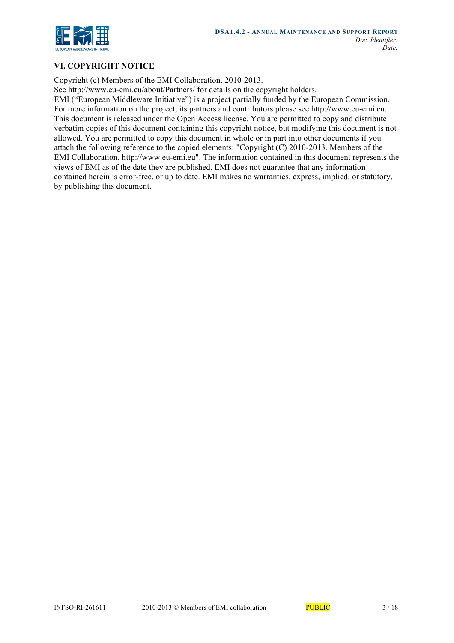

# **VI. COPYRIGHT NOTICE**

Copyright (c) Members of the EMI Collaboration. 2010-2013.

See http://www.eu-emi.eu/about/Partners/ for details on the copyright holders.

EMI ("European Middleware Initiative") is a project partially funded by the European Commission. For more information on the project, its partners and contributors please see http://www.eu-emi.eu. This document is released under the Open Access license. You are permitted to copy and distribute verbatim copies of this document containing this copyright notice, but modifying this document is not allowed. You are permitted to copy this document in whole or in part into other documents if you attach the following reference to the copied elements: "Copyright (C) 2010-2013. Members of the EMI Collaboration. http://www.eu-emi.eu". The information contained in this document represents the views of EMI as of the date they are published. EMI does not guarantee that any information contained herein is error-free, or up to date. EMI makes no warranties, express, implied, or statutory, by publishing this document.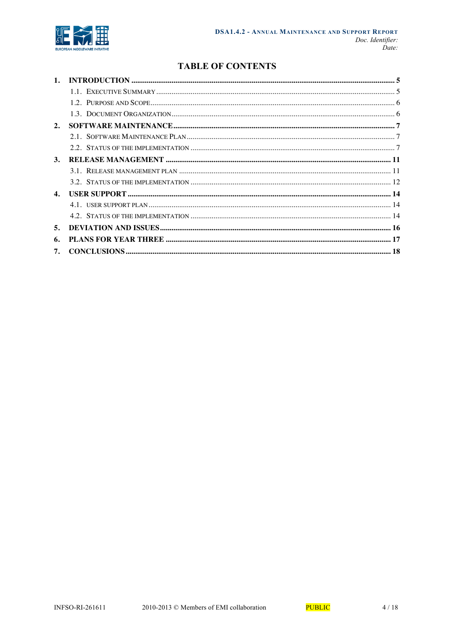

# **TABLE OF CONTENTS**

| 2.             |  |
|----------------|--|
|                |  |
|                |  |
| 3.             |  |
|                |  |
|                |  |
| $\mathbf{4}$ . |  |
|                |  |
|                |  |
| 5.             |  |
| 6.             |  |
|                |  |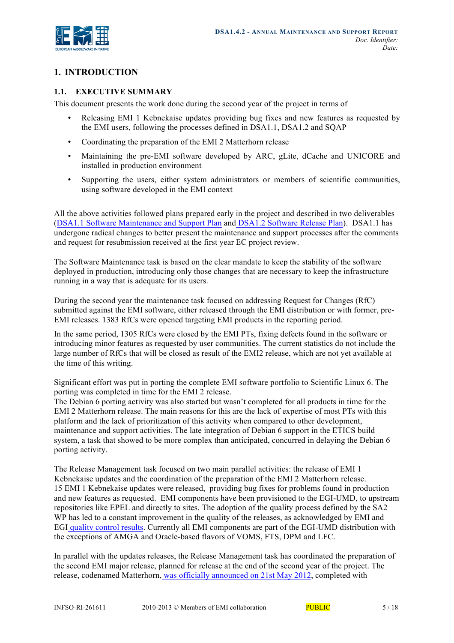

# **1. INTRODUCTION**

# **1.1. EXECUTIVE SUMMARY**

This document presents the work done during the second year of the project in terms of

- Releasing EMI 1 Kebnekaise updates providing bug fixes and new features as requested by the EMI users, following the processes defined in DSA1.1, DSA1.2 and SQAP
- Coordinating the preparation of the EMI 2 Matterhorn release
- Maintaining the pre-EMI software developed by ARC, gLite, dCache and UNICORE and installed in production environment
- Supporting the users, either system administrators or members of scientific communities, using software developed in the EMI context

All the above activities followed plans prepared early in the project and described in two deliverables (DSA1.1 Software Maintenance and Support Plan and DSA1.2 Software Release Plan). DSA1.1 has undergone radical changes to better present the maintenance and support processes after the comments and request for resubmission received at the first year EC project review.

The Software Maintenance task is based on the clear mandate to keep the stability of the software deployed in production, introducing only those changes that are necessary to keep the infrastructure running in a way that is adequate for its users.

During the second year the maintenance task focused on addressing Request for Changes (RfC) submitted against the EMI software, either released through the EMI distribution or with former, pre-EMI releases. 1383 RfCs were opened targeting EMI products in the reporting period.

In the same period, 1305 RfCs were closed by the EMI PTs, fixing defects found in the software or introducing minor features as requested by user communities. The current statistics do not include the large number of RfCs that will be closed as result of the EMI2 release, which are not yet available at the time of this writing.

Significant effort was put in porting the complete EMI software portfolio to Scientific Linux 6. The porting was completed in time for the EMI 2 release.

The Debian 6 porting activity was also started but wasn't completed for all products in time for the EMI 2 Matterhorn release. The main reasons for this are the lack of expertise of most PTs with this platform and the lack of prioritization of this activity when compared to other development, maintenance and support activities. The late integration of Debian 6 support in the ETICS build system, a task that showed to be more complex than anticipated, concurred in delaying the Debian 6 porting activity.

The Release Management task focused on two main parallel activities: the release of EMI 1 Kebnekaise updates and the coordination of the preparation of the EMI 2 Matterhorn release. 15 EMI 1 Kebnekaise updates were released, providing bug fixes for problems found in production and new features as requested. EMI components have been provisioned to the EGI-UMD, to upstream repositories like EPEL and directly to sites. The adoption of the quality process defined by the SA2 WP has led to a constant improvement in the quality of the releases, as acknowledged by EMI and EGI quality control results. Currently all EMI components are part of the EGI-UMD distribution with the exceptions of AMGA and Oracle-based flavors of VOMS, FTS, DPM and LFC.

In parallel with the updates releases, the Release Management task has coordinated the preparation of the second EMI major release, planned for release at the end of the second year of the project. The release, codenamed Matterhorn, was officially announced on 21st May 2012, completed with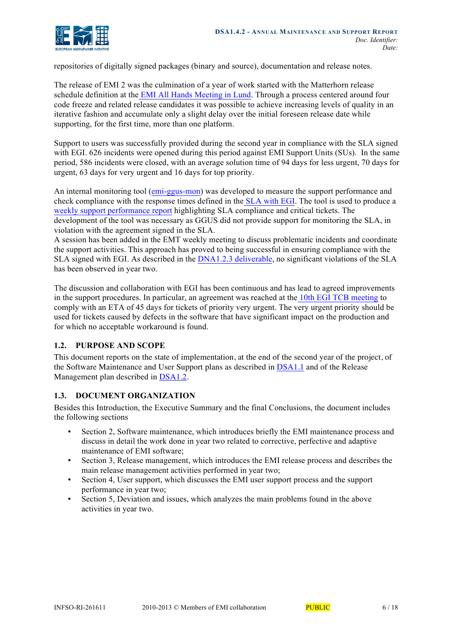repositories of digitally signed packages (binary and source), documentation and release notes.

The release of EMI 2 was the culmination of a year of work started with the Matterhorn release schedule definition at the EMI All Hands Meeting in Lund. Through a process centered around four code freeze and related release candidates it was possible to achieve increasing levels of quality in an iterative fashion and accumulate only a slight delay over the initial foreseen release date while supporting, for the first time, more than one platform.

Support to users was successfully provided during the second year in compliance with the SLA signed with EGI. 626 incidents were opened during this period against EMI Support Units (SUs). In the same period, 586 incidents were closed, with an average solution time of 94 days for less urgent, 70 days for urgent, 63 days for very urgent and 16 days for top priority.

An internal monitoring tool (emi-ggus-mon) was developed to measure the support performance and check compliance with the response times defined in the SLA with EGI. The tool is used to produce a weekly support performance report highlighting SLA compliance and critical tickets. The development of the tool was necessary as GGUS did not provide support for monitoring the SLA, in violation with the agreement signed in the SLA.

A session has been added in the EMT weekly meeting to discuss problematic incidents and coordinate the support activities. This approach has proved to being successful in ensuring compliance with the SLA signed with EGI. As described in the DNA1.2.3 deliverable, no significant violations of the SLA has been observed in year two.

The discussion and collaboration with EGI has been continuous and has lead to agreed improvements in the support procedures. In particular, an agreement was reached at the 10th EGI TCB meeting to comply with an ETA of 45 days for tickets of priority very urgent. The very urgent priority should be used for tickets caused by defects in the software that have significant impact on the production and for which no acceptable workaround is found.

# **1.2. PURPOSE AND SCOPE**

This document reports on the state of implementation, at the end of the second year of the project, of the Software Maintenance and User Support plans as described in DSA1.1 and of the Release Management plan described in DSA1.2.

# **1.3. DOCUMENT ORGANIZATION**

Besides this Introduction, the Executive Summary and the final Conclusions, the document includes the following sections

- Section 2, Software maintenance, which introduces briefly the EMI maintenance process and discuss in detail the work done in year two related to corrective, perfective and adaptive maintenance of EMI software;
- Section 3, Release management, which introduces the EMI release process and describes the main release management activities performed in year two;
- Section 4, User support, which discusses the EMI user support process and the support performance in year two;
- Section 5, Deviation and issues, which analyzes the main problems found in the above activities in year two.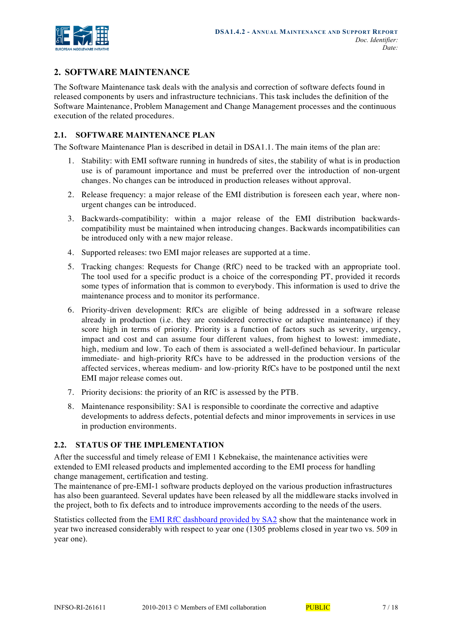

# **2. SOFTWARE MAINTENANCE**

The Software Maintenance task deals with the analysis and correction of software defects found in released components by users and infrastructure technicians. This task includes the definition of the Software Maintenance, Problem Management and Change Management processes and the continuous execution of the related procedures.

# **2.1. SOFTWARE MAINTENANCE PLAN**

The Software Maintenance Plan is described in detail in DSA1.1. The main items of the plan are:

- 1. Stability: with EMI software running in hundreds of sites, the stability of what is in production use is of paramount importance and must be preferred over the introduction of non-urgent changes. No changes can be introduced in production releases without approval.
- 2. Release frequency: a major release of the EMI distribution is foreseen each year, where nonurgent changes can be introduced.
- 3. Backwards-compatibility: within a major release of the EMI distribution backwardscompatibility must be maintained when introducing changes. Backwards incompatibilities can be introduced only with a new major release.
- 4. Supported releases: two EMI major releases are supported at a time.
- 5. Tracking changes: Requests for Change (RfC) need to be tracked with an appropriate tool. The tool used for a specific product is a choice of the corresponding PT, provided it records some types of information that is common to everybody. This information is used to drive the maintenance process and to monitor its performance.
- 6. Priority-driven development: RfCs are eligible of being addressed in a software release already in production (i.e. they are considered corrective or adaptive maintenance) if they score high in terms of priority. Priority is a function of factors such as severity, urgency, impact and cost and can assume four different values, from highest to lowest: immediate, high, medium and low. To each of them is associated a well-defined behaviour. In particular immediate- and high-priority RfCs have to be addressed in the production versions of the affected services, whereas medium- and low-priority RfCs have to be postponed until the next EMI major release comes out.
- 7. Priority decisions: the priority of an RfC is assessed by the PTB.
- 8. Maintenance responsibility: SA1 is responsible to coordinate the corrective and adaptive developments to address defects, potential defects and minor improvements in services in use in production environments.

#### **2.2. STATUS OF THE IMPLEMENTATION**

After the successful and timely release of EMI 1 Kebnekaise, the maintenance activities were extended to EMI released products and implemented according to the EMI process for handling change management, certification and testing.

The maintenance of pre-EMI-1 software products deployed on the various production infrastructures has also been guaranteed. Several updates have been released by all the middleware stacks involved in the project, both to fix defects and to introduce improvements according to the needs of the users.

Statistics collected from the EMI RfC dashboard provided by SA2 show that the maintenance work in year two increased considerably with respect to year one (1305 problems closed in year two vs. 509 in year one).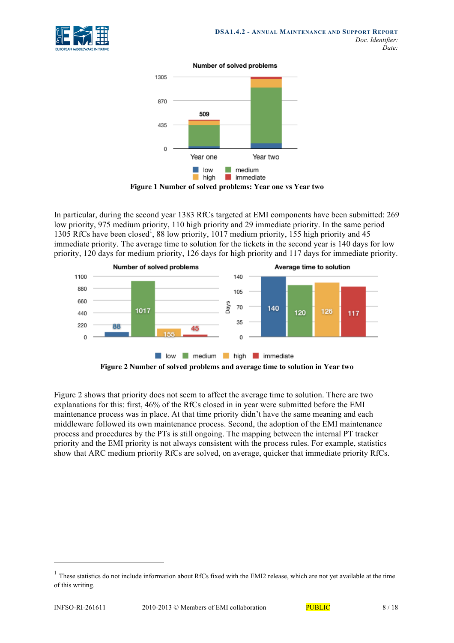

Number of solved problems



In particular, during the second year 1383 RfCs targeted at EMI components have been submitted: 269 low priority, 975 medium priority, 110 high priority and 29 immediate priority. In the same period 1305 RfCs have been closed<sup>1</sup>, 88 low priority, 1017 medium priority, 155 high priority and 45 immediate priority. The average time to solution for the tickets in the second year is 140 days for low priority, 120 days for medium priority, 126 days for high priority and 117 days for immediate priority.



Figure 2 shows that priority does not seem to affect the average time to solution. There are two explanations for this: first, 46% of the RfCs closed in in year were submitted before the EMI maintenance process was in place. At that time priority didn't have the same meaning and each middleware followed its own maintenance process. Second, the adoption of the EMI maintenance process and procedures by the PTs is still ongoing. The mapping between the internal PT tracker priority and the EMI priority is not always consistent with the process rules. For example, statistics show that ARC medium priority RfCs are solved, on average, quicker that immediate priority RfCs.

 $\overline{a}$ 

 $1$  These statistics do not include information about RfCs fixed with the EMI2 release, which are not yet available at the time of this writing.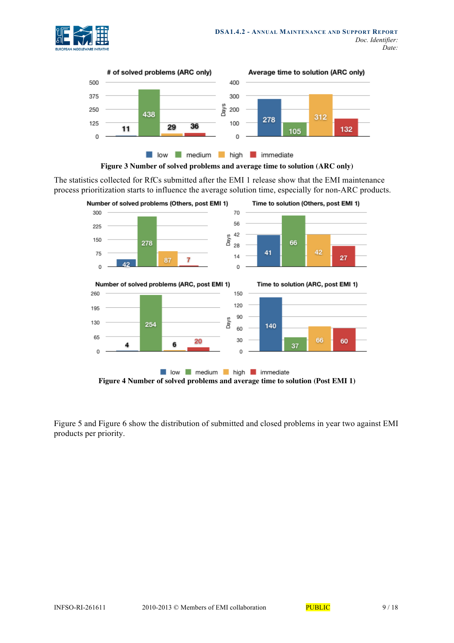





The statistics collected for RfCs submitted after the EMI 1 release show that the EMI maintenance process prioritization starts to influence the average solution time, especially for non-ARC products.



Figure 5 and Figure 6 show the distribution of submitted and closed problems in year two against EMI products per priority.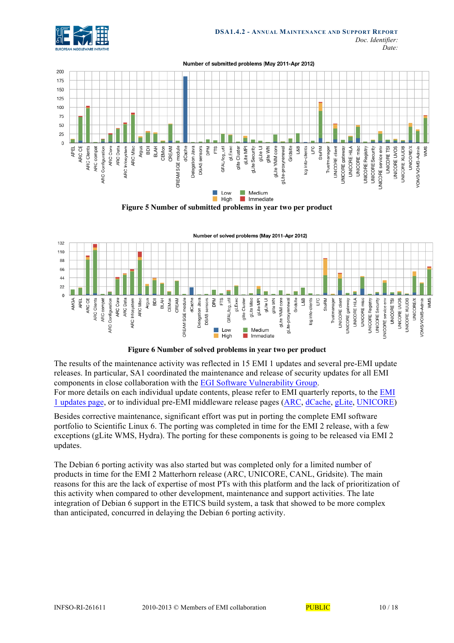







**Figure 6 Number of solved problems in year two per product** 

The results of the maintenance activity was reflected in 15 EMI 1 updates and several pre-EMI update releases. In particular, SA1 coordinated the maintenance and release of security updates for all EMI components in close collaboration with the EGI Software Vulnerability Group. For more details on each individual update contents, please refer to EMI quarterly reports, to the EMI 1 updates page, or to individual pre-EMI middleware release pages (ARC, dCache, gLite, UNICORE)

Besides corrective maintenance, significant effort was put in porting the complete EMI software portfolio to Scientific Linux 6. The porting was completed in time for the EMI 2 release, with a few exceptions (gLite WMS, Hydra). The porting for these components is going to be released via EMI 2 updates.

The Debian 6 porting activity was also started but was completed only for a limited number of products in time for the EMI 2 Matterhorn release (ARC, UNICORE, CANL, Gridsite). The main reasons for this are the lack of expertise of most PTs with this platform and the lack of prioritization of this activity when compared to other development, maintenance and support activities. The late integration of Debian 6 support in the ETICS build system, a task that showed to be more complex than anticipated, concurred in delaying the Debian 6 porting activity.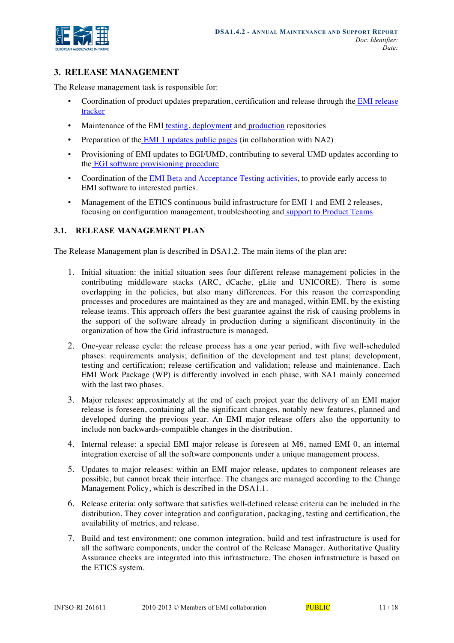

# **3. RELEASE MANAGEMENT**

The Release management task is responsible for:

- Coordination of product updates preparation, certification and release through the EMI release tracker
- Maintenance of the EMI testing, deployment and production repositories
- Preparation of the EMI 1 updates public pages (in collaboration with NA2)
- Provisioning of EMI updates to EGI/UMD, contributing to several UMD updates according to the EGI software provisioning procedure
- Coordination of the EMI Beta and Acceptance Testing activities, to provide early access to EMI software to interested parties.
- Management of the ETICS continuous build infrastructure for EMI 1 and EMI 2 releases, focusing on configuration management, troubleshooting and support to Product Teams

# **3.1. RELEASE MANAGEMENT PLAN**

The Release Management plan is described in DSA1.2. The main items of the plan are:

- 1. Initial situation: the initial situation sees four different release management policies in the contributing middleware stacks (ARC, dCache, gLite and UNICORE). There is some overlapping in the policies, but also many differences. For this reason the corresponding processes and procedures are maintained as they are and managed, within EMI, by the existing release teams. This approach offers the best guarantee against the risk of causing problems in the support of the software already in production during a significant discontinuity in the organization of how the Grid infrastructure is managed.
- 2. One-year release cycle: the release process has a one year period, with five well-scheduled phases: requirements analysis; definition of the development and test plans; development, testing and certification; release certification and validation; release and maintenance. Each EMI Work Package (WP) is differently involved in each phase, with SA1 mainly concerned with the last two phases.
- 3. Major releases: approximately at the end of each project year the delivery of an EMI major release is foreseen, containing all the significant changes, notably new features, planned and developed during the previous year. An EMI major release offers also the opportunity to include non backwards-compatible changes in the distribution.
- 4. Internal release: a special EMI major release is foreseen at M6, named EMI 0, an internal integration exercise of all the software components under a unique management process.
- 5. Updates to major releases: within an EMI major release, updates to component releases are possible, but cannot break their interface. The changes are managed according to the Change Management Policy, which is described in the DSA1.1.
- 6. Release criteria: only software that satisfies well-defined release criteria can be included in the distribution. They cover integration and configuration, packaging, testing and certification, the availability of metrics, and release.
- 7. Build and test environment: one common integration, build and test infrastructure is used for all the software components, under the control of the Release Manager. Authoritative Quality Assurance checks are integrated into this infrastructure. The chosen infrastructure is based on the ETICS system.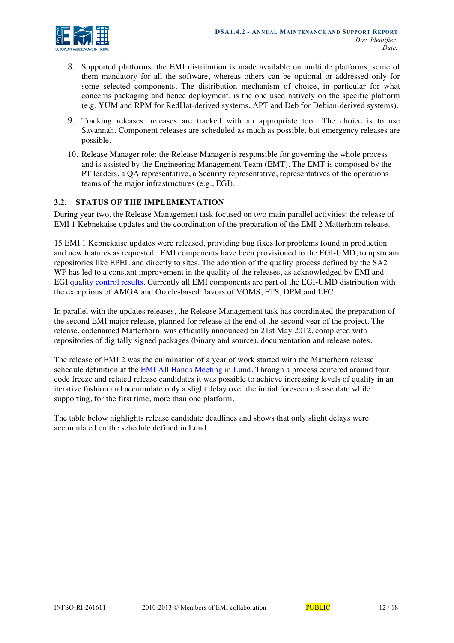

- 8. Supported platforms: the EMI distribution is made available on multiple platforms, some of them mandatory for all the software, whereas others can be optional or addressed only for some selected components. The distribution mechanism of choice, in particular for what concerns packaging and hence deployment, is the one used natively on the specific platform (e.g. YUM and RPM for RedHat-derived systems, APT and Deb for Debian-derived systems).
- 9. Tracking releases: releases are tracked with an appropriate tool. The choice is to use Savannah. Component releases are scheduled as much as possible, but emergency releases are possible.
- 10. Release Manager role: the Release Manager is responsible for governing the whole process and is assisted by the Engineering Management Team (EMT). The EMT is composed by the PT leaders, a QA representative, a Security representative, representatives of the operations teams of the major infrastructures (e.g., EGI).

## **3.2. STATUS OF THE IMPLEMENTATION**

During year two, the Release Management task focused on two main parallel activities: the release of EMI 1 Kebnekaise updates and the coordination of the preparation of the EMI 2 Matterhorn release.

15 EMI 1 Kebnekaise updates were released, providing bug fixes for problems found in production and new features as requested. EMI components have been provisioned to the EGI-UMD, to upstream repositories like EPEL and directly to sites. The adoption of the quality process defined by the SA2 WP has led to a constant improvement in the quality of the releases, as acknowledged by EMI and EGI quality control results. Currently all EMI components are part of the EGI-UMD distribution with the exceptions of AMGA and Oracle-based flavors of VOMS, FTS, DPM and LFC.

In parallel with the updates releases, the Release Management task has coordinated the preparation of the second EMI major release, planned for release at the end of the second year of the project. The release, codenamed Matterhorn, was officially announced on 21st May 2012, completed with repositories of digitally signed packages (binary and source), documentation and release notes.

The release of EMI 2 was the culmination of a year of work started with the Matterhorn release schedule definition at the EMI All Hands Meeting in Lund. Through a process centered around four code freeze and related release candidates it was possible to achieve increasing levels of quality in an iterative fashion and accumulate only a slight delay over the initial foreseen release date while supporting, for the first time, more than one platform.

The table below highlights release candidate deadlines and shows that only slight delays were accumulated on the schedule defined in Lund.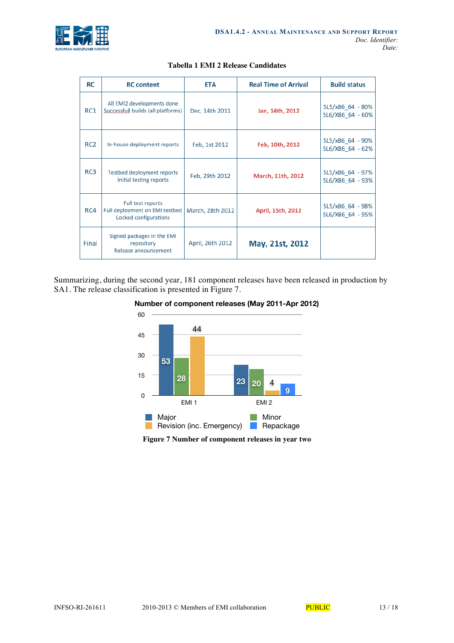

| <b>RC</b>       | <b>RC</b> content                                                            | <b>ETA</b>       | <b>Real Time of Arrival</b> | <b>Build status</b>                  |
|-----------------|------------------------------------------------------------------------------|------------------|-----------------------------|--------------------------------------|
| RC1             | All EMI2 developments done<br>Successfull builds (all platforms)             | Dec, 14th 2011   | Jan, 14th, 2012             | SL5/x86 64 - 80%<br>SL6/X86 64 - 60% |
| RC <sub>2</sub> | In-house deployment reports                                                  | Feb, 1st 2012    | Feb, 10th, 2012             | SL5/x86 64 - 90%<br>SL6/X86 64 - 62% |
| RC3             | <b>Testbed deployment reports</b><br>Initial testing reports                 | Feb, 29th 2012   | March, 11th, 2012           | SL5/x86 64 - 97%<br>SL6/X86 64 - 93% |
| RC4             | Full test reports<br>Full deployment on EMI testbed<br>Locked configurations | March, 28th 2012 | April, 15th, 2012           | SL5/x86 64 - 98%<br>SL6/X86 64 - 95% |
| Final           | Signed packages in the EMI<br>repository<br>Release announcement             | April, 26th 2012 | May, 21st, 2012             |                                      |

#### **Tabella 1 EMI 2 Release Candidates**

Summarizing, during the second year, 181 component releases have been released in production by SA1. The release classification is presented in Figure 7.





**Figure 7 Number of component releases in year two**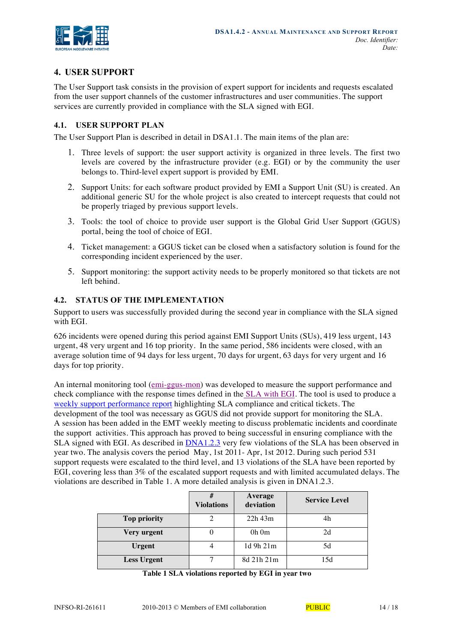

# **4. USER SUPPORT**

The User Support task consists in the provision of expert support for incidents and requests escalated from the user support channels of the customer infrastructures and user communities. The support services are currently provided in compliance with the SLA signed with EGI.

## **4.1. USER SUPPORT PLAN**

The User Support Plan is described in detail in DSA1.1. The main items of the plan are:

- 1. Three levels of support: the user support activity is organized in three levels. The first two levels are covered by the infrastructure provider (e.g. EGI) or by the community the user belongs to. Third-level expert support is provided by EMI.
- 2. Support Units: for each software product provided by EMI a Support Unit (SU) is created. An additional generic SU for the whole project is also created to intercept requests that could not be properly triaged by previous support levels.
- 3. Tools: the tool of choice to provide user support is the Global Grid User Support (GGUS) portal, being the tool of choice of EGI.
- 4. Ticket management: a GGUS ticket can be closed when a satisfactory solution is found for the corresponding incident experienced by the user.
- 5. Support monitoring: the support activity needs to be properly monitored so that tickets are not left behind.

# **4.2. STATUS OF THE IMPLEMENTATION**

Support to users was successfully provided during the second year in compliance with the SLA signed with EGI.

626 incidents were opened during this period against EMI Support Units (SUs), 419 less urgent, 143 urgent, 48 very urgent and 16 top priority. In the same period, 586 incidents were closed, with an average solution time of 94 days for less urgent, 70 days for urgent, 63 days for very urgent and 16 days for top priority.

An internal monitoring tool (emi-ggus-mon) was developed to measure the support performance and check compliance with the response times defined in the SLA with EGI. The tool is used to produce a weekly support performance report highlighting SLA compliance and critical tickets. The development of the tool was necessary as GGUS did not provide support for monitoring the SLA. A session has been added in the EMT weekly meeting to discuss problematic incidents and coordinate the support activities. This approach has proved to being successful in ensuring compliance with the SLA signed with EGI. As described in  $DNA1.2.3$  very few violations of the SLA has been observed in year two. The analysis covers the period May, 1st 2011- Apr, 1st 2012. During such period 531 support requests were escalated to the third level, and 13 violations of the SLA have been reported by EGI, covering less than 3% of the escalated support requests and with limited accumulated delays. The violations are described in Table 1. A more detailed analysis is given in DNA1.2.3.

|                     | <b>Violations</b> | Average<br>deviation | <b>Service Level</b> |
|---------------------|-------------------|----------------------|----------------------|
| <b>Top priority</b> |                   | $22h$ 43m            | 4h                   |
| Very urgent         |                   | $0h$ $0m$            | 2d                   |
| <b>Urgent</b>       |                   | 1d 9h 21m            | 5d                   |
| <b>Less Urgent</b>  |                   | 8d 21h 21m           | 15d                  |

| Table 1 SLA violations reported by EGI in year two |  |  |  |  |  |
|----------------------------------------------------|--|--|--|--|--|
|----------------------------------------------------|--|--|--|--|--|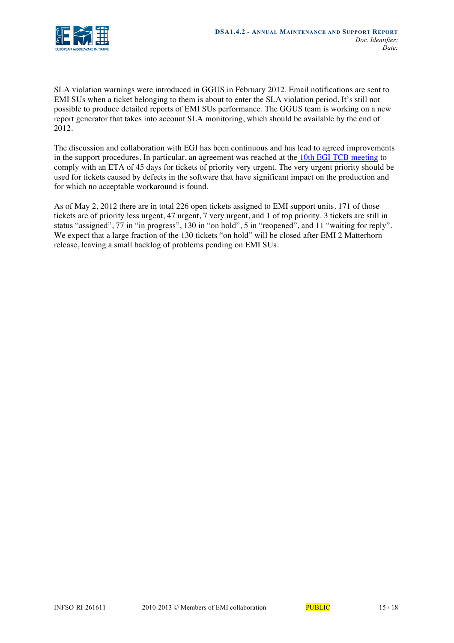

SLA violation warnings were introduced in GGUS in February 2012. Email notifications are sent to EMI SUs when a ticket belonging to them is about to enter the SLA violation period. It's still not possible to produce detailed reports of EMI SUs performance. The GGUS team is working on a new report generator that takes into account SLA monitoring, which should be available by the end of 2012.

The discussion and collaboration with EGI has been continuous and has lead to agreed improvements in the support procedures. In particular, an agreement was reached at the 10th EGI TCB meeting to comply with an ETA of 45 days for tickets of priority very urgent. The very urgent priority should be used for tickets caused by defects in the software that have significant impact on the production and for which no acceptable workaround is found.

As of May 2, 2012 there are in total 226 open tickets assigned to EMI support units. 171 of those tickets are of priority less urgent, 47 urgent, 7 very urgent, and 1 of top priority. 3 tickets are still in status "assigned", 77 in "in progress", 130 in "on hold", 5 in "reopened", and 11 "waiting for reply". We expect that a large fraction of the 130 tickets "on hold" will be closed after EMI 2 Matterhorn release, leaving a small backlog of problems pending on EMI SUs.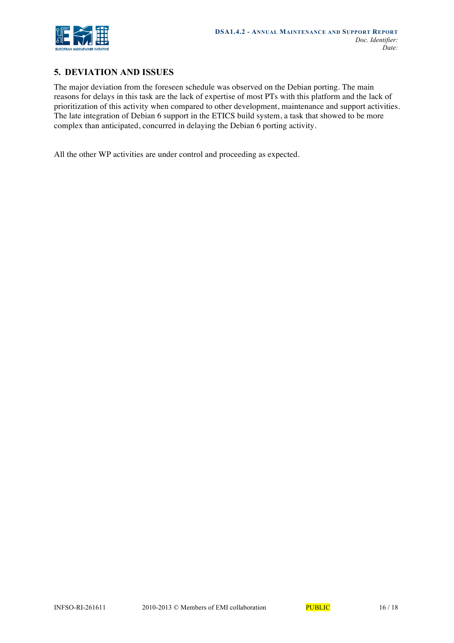

# **5. DEVIATION AND ISSUES**

The major deviation from the foreseen schedule was observed on the Debian porting. The main reasons for delays in this task are the lack of expertise of most PTs with this platform and the lack of prioritization of this activity when compared to other development, maintenance and support activities. The late integration of Debian 6 support in the ETICS build system, a task that showed to be more complex than anticipated, concurred in delaying the Debian 6 porting activity.

All the other WP activities are under control and proceeding as expected.

*Doc. Identifier:*

*Date:*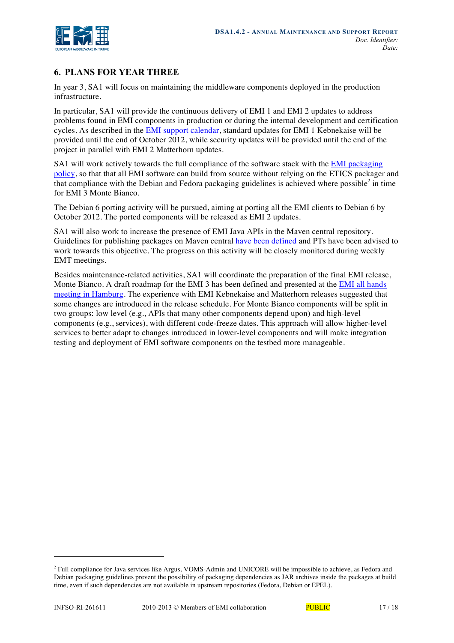

# **6. PLANS FOR YEAR THREE**

In year 3, SA1 will focus on maintaining the middleware components deployed in the production infrastructure.

In particular, SA1 will provide the continuous delivery of EMI 1 and EMI 2 updates to address problems found in EMI components in production or during the internal development and certification cycles. As described in the EMI support calendar, standard updates for EMI 1 Kebnekaise will be provided until the end of October 2012, while security updates will be provided until the end of the project in parallel with EMI 2 Matterhorn updates.

SA1 will work actively towards the full compliance of the software stack with the EMI packaging policy, so that that all EMI software can build from source without relying on the ETICS packager and that compliance with the Debian and Fedora packaging guidelines is achieved where possible<sup>2</sup> in time for EMI 3 Monte Bianco.

The Debian 6 porting activity will be pursued, aiming at porting all the EMI clients to Debian 6 by October 2012. The ported components will be released as EMI 2 updates.

SA1 will also work to increase the presence of EMI Java APIs in the Maven central repository. Guidelines for publishing packages on Maven central have been defined and PTs have been advised to work towards this objective. The progress on this activity will be closely monitored during weekly EMT meetings.

Besides maintenance-related activities, SA1 will coordinate the preparation of the final EMI release, Monte Bianco. A draft roadmap for the EMI 3 has been defined and presented at the EMI all hands meeting in Hamburg. The experience with EMI Kebnekaise and Matterhorn releases suggested that some changes are introduced in the release schedule. For Monte Bianco components will be split in two groups: low level (e.g., APIs that many other components depend upon) and high-level components (e.g., services), with different code-freeze dates. This approach will allow higher-level services to better adapt to changes introduced in lower-level components and will make integration testing and deployment of EMI software components on the testbed more manageable.

-

<sup>2</sup> Full compliance for Java services like Argus, VOMS-Admin and UNICORE will be impossible to achieve, as Fedora and Debian packaging guidelines prevent the possibility of packaging dependencies as JAR archives inside the packages at build time, even if such dependencies are not available in upstream repositories (Fedora, Debian or EPEL).